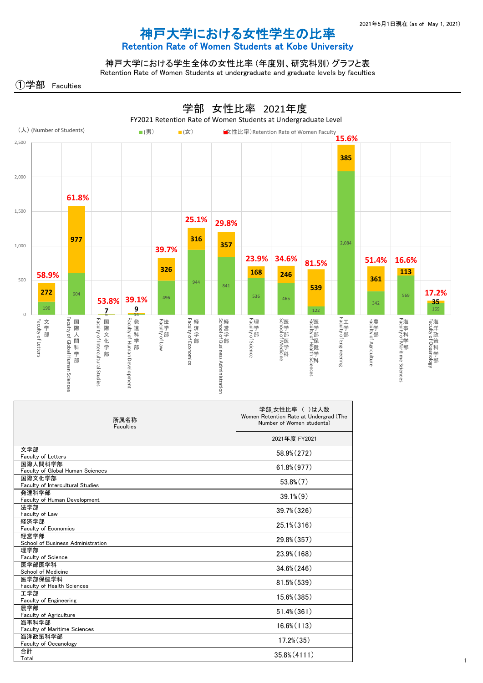1

| 発達科学部                               | $39.1\%$ $(9)$  |
|-------------------------------------|-----------------|
| <b>Faculty of Human Development</b> |                 |
| 法学部                                 | 39.7% (326)     |
| Faculty of Law                      |                 |
| 経済学部                                | $25.1\%$ (316)  |
| <b>Faculty of Economics</b>         |                 |
| 経営学部                                | 29.8% (357)     |
| School of Business Administration   |                 |
| 理学部                                 |                 |
| Faculty of Science                  | 23.9% (168)     |
| 医学部医学科                              | $34.6\% (246)$  |
| School of Medicine                  |                 |
| 医学部保健学科                             | $81.5\% (539)$  |
| Faculty of Health Sciences          |                 |
| 工学部                                 | 15.6% (385)     |
| <b>Faculty of Engineering</b>       |                 |
| 農学部                                 | $51.4\%$ (361)  |
| Faculty of Agriculture              |                 |
| 海事科学部                               | $16.6\% (113)$  |
| <b>Faculty of Maritime Sciences</b> |                 |
| 海洋政策科学部                             |                 |
| Faculty of Oceanology               | $17.2\%$ $(35)$ |
| 合計                                  | $35.8\% (4111)$ |
| Total                               |                 |

国际文化子部 53.8%(7)<br>Faculty of Intercultural Studies

## 神戸大学における女性学生の比率

## Retention Rate of Women Students at Kobe University



神戸大学における学生全体の女性比率 (年度別、研究科別) グラフと表

Retention Rate of Women Students at undergraduate and graduate levels by faculties

)学部 Faculties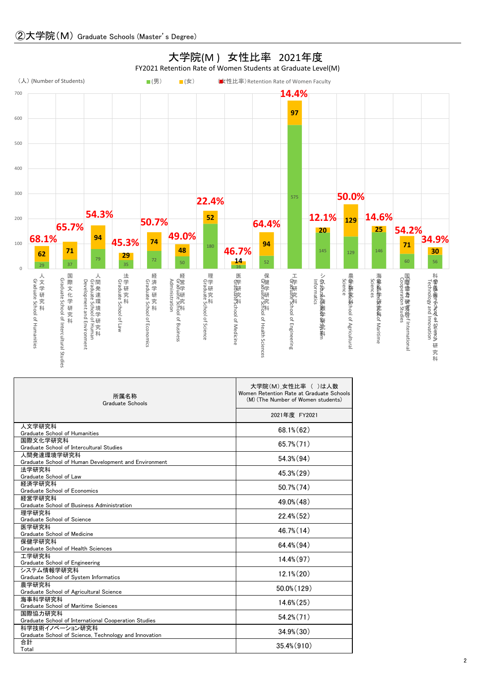| 所属名称<br><b>Graduate Schools</b>                                    | 大学院(M)_女性比率 ( )は人数<br>Women Retention Rate at Graduate Schools<br>(M) (The Number of Women students) |
|--------------------------------------------------------------------|------------------------------------------------------------------------------------------------------|
|                                                                    | 2021年度 FY2021                                                                                        |
| 人文学研究科<br>Graduate School of Humanities                            | $68.1\%$ $(62)$                                                                                      |
| 国際文化学研究科                                                           |                                                                                                      |
| Graduate School of Intercultural Studies                           | $65.7\%$ $(71)$                                                                                      |
| 人間発達環境学研究科<br>Graduate School of Human Development and Environment | $54.3\%$ $(94)$                                                                                      |
| 法学研究科                                                              |                                                                                                      |
| Graduate School of Law                                             | $45.3\%$ $(29)$                                                                                      |
| 経済学研究科                                                             | $50.7\%$ $(74)$                                                                                      |
| Graduate School of Economics                                       |                                                                                                      |
| 経営学研究科<br>Graduate School of Business Administration               | $49.0\%$ (48)                                                                                        |
| 理学研究科                                                              |                                                                                                      |
| Graduate School of Science                                         | $22.4\%$ (52)                                                                                        |
| 医学研究科                                                              |                                                                                                      |
| Graduate School of Medicine                                        | $46.7\%$ (14)                                                                                        |
| 保健学研究科                                                             | $64.4\%$ $(94)$                                                                                      |
| <b>Graduate School of Health Sciences</b>                          |                                                                                                      |
| 工学研究科<br>Graduate School of Engineering                            | $14.4\% (97)$                                                                                        |
| システム情報学研究科                                                         |                                                                                                      |
| Graduate School of System Informatics                              | $12.1\% (20)$                                                                                        |
| 農学研究科                                                              | 50.0% (129)                                                                                          |
| Graduate School of Agricultural Science                            |                                                                                                      |
| 海事科学研究科                                                            | $14.6\%$ $(25)$                                                                                      |
| <b>Graduate School of Maritime Sciences</b>                        |                                                                                                      |
| 国際協力研究科<br>Graduate School of International Cooperation Studies    | $54.2\% (71)$                                                                                        |
| 科学技術イノベーション研究科                                                     |                                                                                                      |
| Graduate School of Science, Technology and Innovation              | $34.9\%$ $(30)$                                                                                      |
| 合計                                                                 |                                                                                                      |
| Total                                                              | 35.4% (910)                                                                                          |